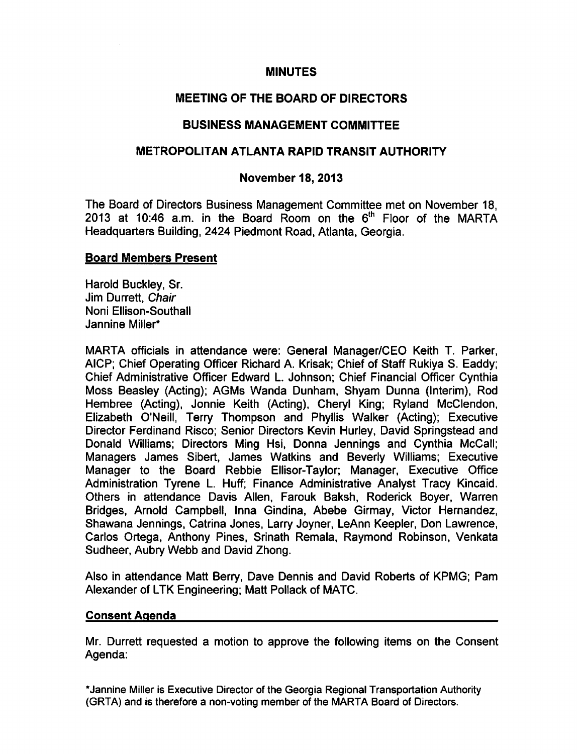#### MINUTES

# MEETING OF THE BOARD OF DIRECTORS

# BUSINESS MANAGEMENT COMMITTEE

#### METROPOLITAN ATLANTA RAPID TRANSIT AUTHORITY

#### November 18, 2013

The Board of Directors Business Management Committee met on November 18, 2013 at 10:46 a.m. in the Board Room on the  $6<sup>th</sup>$  Floor of the MARTA Headquarters Building, 2424 Piedmont Road, Atlanta, Georgia.

#### Board Members Present

Harold Buckley, Sr. Jim Durrett, Chair Noni Ellison-Southall Jannine Miller"

MARTA officials in attendance were: General Manager/CEO Keith T. Parker, AICP; Chief Operating Officer Richard A. Krisak; Chief of Staff Rukiya S. Eaddy; Chief Administrative Officer Edward L. Johnson; Chief Financial Officer Cynthia Moss Beasley (Acting); AGMs Wanda Dunham, Shyam Dunna (Interim), Rod Hembree (Acting), Jonnie Keith (Acting), Cheryl King; Ryland McClendon, Elizabeth O'Neill, Terry Thompson and Phyllis Walker (Acting); Executive Director Ferdinand Risco; Senior Directors Kevin Hurley, David Springstead and Donald Williams; Directors Ming Hsi, Donna Jennings and Cynthia McCall; Managers James Sibert, James Watkins and Beverly Williams; Executive Manager to the Board Rebbie Ellisor-Taylor; Manager, Executive Office Administration Tyrene L. Huff; Finance Administrative Analyst Tracy Kincaid. Others in attendance Davis Allen, Farouk Baksh, Roderick Boyer, Warren Bridges, Arnold Campbell, Inna Gindina, Abebe Girmay, Victor Hernandez, Shawana Jennings, Catrina Jones, Larry Joyner, LeAnn Keepler, Don Lawrence, Carlos Ortega, Anthony Pines, Srinath Remala, Raymond Robinson, Venkata Sudheer, Aubry Webb and David Zhong.

Also in attendance Matt Berry, Dave Dennis and David Roberts of KPMG; Pam Alexander of LTK Engineering; Matt Pollack of MATC.

#### Consent Agenda

Mr. Durrett requested a motion to approve the following items on the Consent Agenda:

\*Jannine Miller is Executive Director of the Georgia Regional Transportation Authority (GRTA) and is therefore a non-voting member of the MARTA Board of Directors.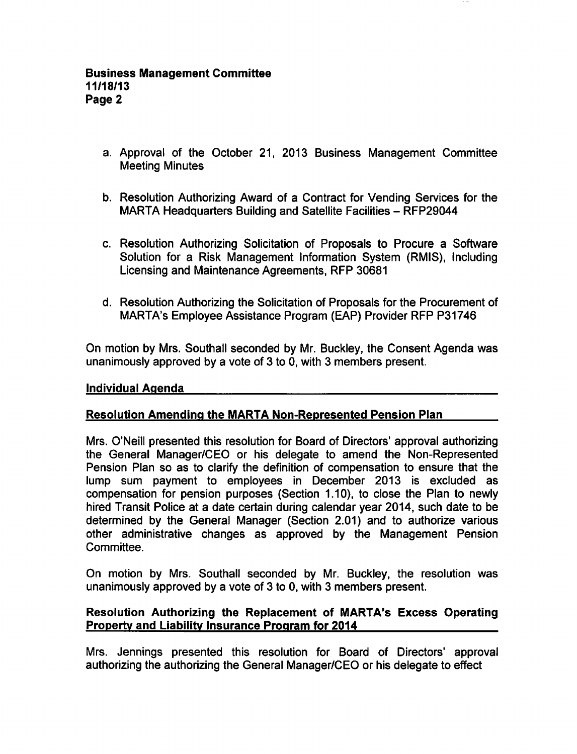- a. Approval of the October 21, 2013 Business Management Committee Meeting Minutes
- b. Resolution Authorizing Award of a Contract for Vending Services for the MARTA Headquarters Building and Satellite Facilities - RFP29044
- c. Resolution Authorizing Solicitation of Proposals to Procure a Software Solution for a Risk Management Information System (RMIS), Including Licensing and Maintenance Agreements, RFP 30681
- d. Resolution Authorizing the Solicitation of Proposals for the Procurement of MARTA's Employee Assistance Program (EAP) Provider RFP P31746

On motion by Mrs. Southall seconded by Mr. Buckley, the Consent Agenda was unanimously approved by a vote of 3 to 0, with 3 members present.

## Individual Agenda

## Resolution Amending the MARTA Non-Represented Pension Plan

Mrs. O'Neill presented this resolution for Board of Directors' approval authorizing the General Manager/CEO or his delegate to amend the Non-Represented Pension Plan so as to clarify the definition of compensation to ensure that the lump sum payment to employees in December 2013 is excluded as compensation for pension purposes (Section 1.10), to close the Plan to newly hired Transit Police at a date certain during calendar year 2014, such date to be determined by the General Manager (Section 2.01) and to authorize various other administrative changes as approved by the Management Pension Committee.

On motion by Mrs. Southall seconded by Mr. Buckley, the resolution was unanimously approved by a vote of  $3$  to  $0$ , with  $3$  members present.

## Resolution Authorizing the Replacement of MARTA's Excess Operating Property and Liability Insurance Program for 2014

Mrs. Jennings presented this resolution for Board of Directors' approval authorizing the authorizing the General Manager/CEO or his delegate to effect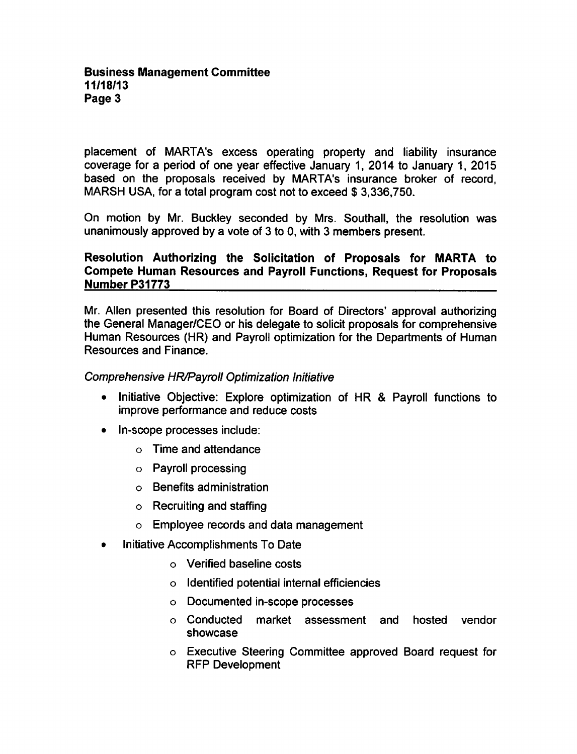placement of MARTA's excess operating property and liability insurance coverage for a period of one year effective January 1, 2014 to January 1, 2015 based on the proposals received by MARTA's insurance broker of record, MARSH USA, for a total program cost not to exceed \$3,336,750.

On motion by Mr. Buckley seconded by Mrs. Southall, the resolution was unanimously approved by a vote of 3 to 0, with 3 members present.

## Resolution Authorizing the Solicitation of Proposals for MARTA to Compete Human Resources and Payroll Functions, Request for Proposals Number P31773

Mr. Allen presented this resolution for Board of Directors' approval authorizing the General Manager/CEO or his delegate to solicit proposals for comprehensive Human Resources (HR) and Payroll optimization for the Departments of Human Resources and Finance.

#### Comprehensive HR/Payroll Optimization Initiative

- $\bullet$  Initiative Objective: Explore optimization of HR & Payroll functions to improve performance and reduce costs
- In-scope processes include:
	- Time and attendance
	- Payroll processing
	- Benefits administration
	- $\circ$  Recruiting and staffing
	- Employee records and data management
- Initiative Accomplishments To Date
	- Verified baseline costs
	- Identified potential internal efficiencies
	- Documented in-scope processes
	- Conducted market assessment and hosted vendor showcase
	- Executive Steering Committee approved Board request for RFP Development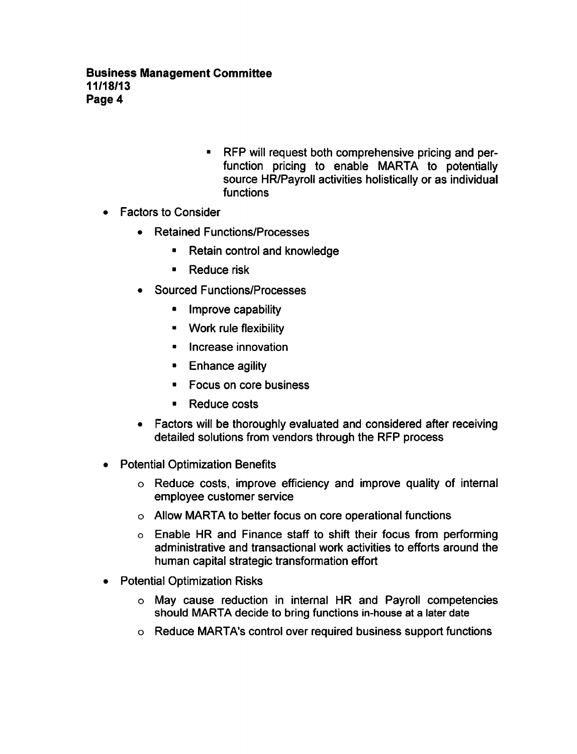- RFP will request both comprehensive pricing and perfunction pricing to enable MARTA to potentially source HR/Payroll activities holistically or as individual functions
- Factors to Consider  $\bullet$ 
	- Retained Functions/Processes
		- Retain control and knowledge
		- $\blacksquare$ Reduce risk
	- Sourced Functions/Processes
		- Improve capability
		- Work rule flexibility
		- **Increase innovation**
		- **Enhance agility**
		- Focus on core business  $\blacksquare$
		- Reduce costs  $\blacksquare$
	- Factors will be thoroughly evaluated and considered after receiving detailed solutions from vendors through the RFP process
- Potential Optimization Benefits  $\bullet$ 
	- Reduce costs, improve efficiency and improve quality of internal employee customer service
	- Allow MARTA to better focus on core operational functions
	- Enable HR and Finance staff to shift their focus from performing administrative and transactional work activities to efforts around the human capital strategic transformation effort
- Potential Optimization Risks  $\bullet$ 
	- May cause reduction in internal HR and Payroll competencies should MARTA decide to bring functions in-house at a later date
	- Reduce MARTA's control over required business support functions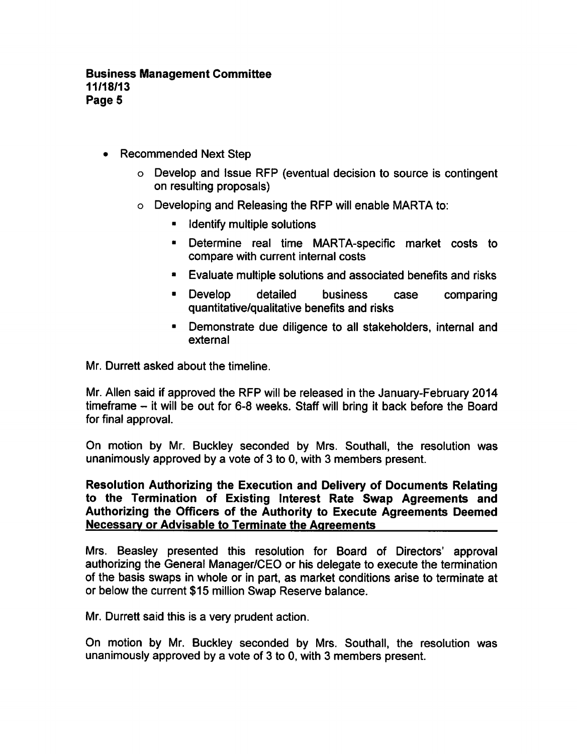- Recommended Next Step  $\bullet$ 
	- Develop and Issue RFP (eventual decision to source is contingent on resulting proposals)
	- $\circ$  Developing and Releasing the RFP will enable MARTA to:
		- **If identify multiple solutions**
		- Determine real time MARTA-specific market costs to compare with current internal costs
		- Evaluate multiple solutions and associated benefits and risks
		- Develop detailed business case comparing quantitative/qualitative benefits and risks
		- Demonstrate due diligence to all stakeholders, internal and external

Mr. Durrett asked about the timeline.

Mr. Allen said if approved the RFP will be released in the January-February 2014 timeframe  $-$  it will be out for 6-8 weeks. Staff will bring it back before the Board for final approval.

On motion by Mr. Buckley seconded by Mrs. Southall, the resolution was unanimously approved by a vote of 3 to 0, with 3 members present.

## Resolution Authorizing the Execution and Delivery of Documents Relating to the Termination of Existing Interest Rate Swap Agreements and Authorizing the Officers of the Authority to Execute Agreements Deemed Necessary or Advisable to Terminate the Agreements

Mrs. Beasley presented this resolution for Board of Directors' approval authorizing the General Manager/CEO or his delegate to execute the termination of the basis swaps in whole or in part, as market conditions arise to terminate at or below the current \$15 million Swap Reserve balance.

Mr. Durrett said this is a very prudent action.

On motion by Mr. Buckley seconded by Mrs. Southall, the resolution was unanimously approved by a vote of 3 to 0, with 3 members present.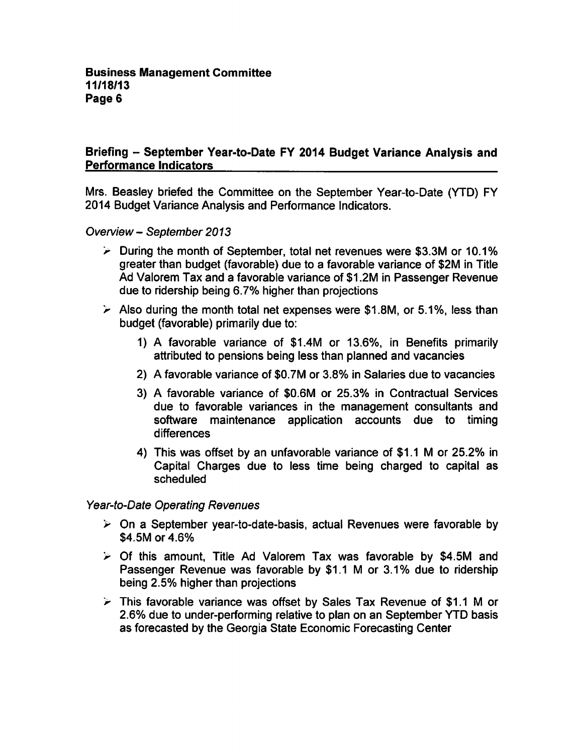# Briefing - September Year-to-Date FY 2014 Budget Variance Analysis and Performance Indicators

Mrs. Beasley briefed the Committee on the September Year-to-Date (YTD) FY 2014 Budget Variance Analysis and Performance Indicators.

Overview - September 2013

- $\geq$  During the month of September, total net revenues were \$3.3M or 10.1% greater than budget (favorable) due to a favorable variance of \$2M in Title Ad Valorem Tax and a favorable variance of \$1.2M in Passenger Revenue due to ridership being 6.7% higher than projections
- $\geq$  Also during the month total net expenses were \$1.8M, or 5.1%, less than budget (favorable) primarily due to:
	- 1) A favorable variance of \$1.4M or 13.6%, in Benefits primarily attributed to pensions being less than planned and vacancies
	- 2) A favorable variance of \$0.7M or 3.8% in Salaries due to vacancies
	- 3) A favorable variance of \$0.6M or 25.3% in Contractual Services due to favorable variances in the management consultants and software maintenance application accounts due to timing differences
	- 4) This was offset by an unfavorable variance of \$1.1 M or 25.2% in Capital Charges due to less time being charged to capital as scheduled

Year-to-Date Operating Revenues

- $\triangleright$  On a September year-to-date-basis, actual Revenues were favorable by \$4.5M or 4.6%
- $\triangleright$  Of this amount, Title Ad Valorem Tax was favorable by \$4.5M and Passenger Revenue was favorable by \$1.1 M or 3.1% due to ridership being 2.5% higher than projections
- $\geq$  This favorable variance was offset by Sales Tax Revenue of \$1.1 M or 2.6% due to under-performing relative to plan on an September YTD basis as forecasted by the Georgia State Economic Forecasting Center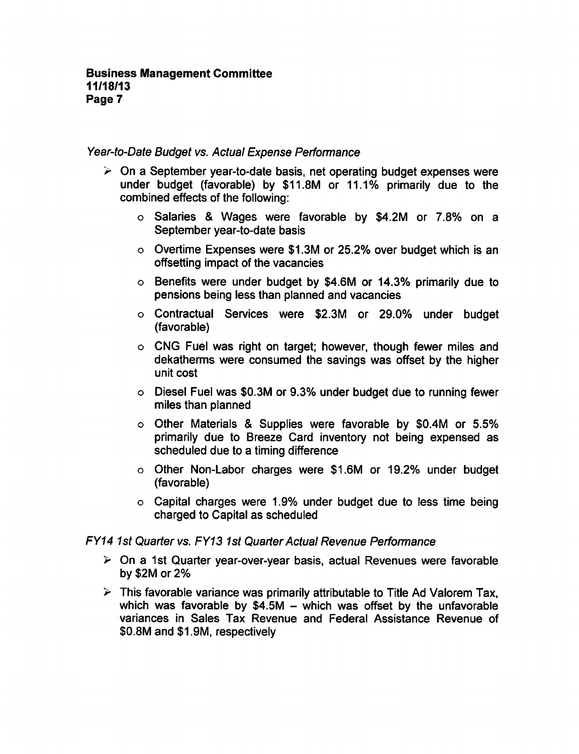#### Year-to-Date Budget vs. Actual Expense Performance

- $\geq$  On a September year-to-date basis, net operating budget expenses were under budget (favorable) by \$11.8M or 11.1% primarily due to the combined effects of the following:
	- $\circ$  Salaries & Wages were favorable by \$4.2M or 7.8% on a September year-to-date basis
	- Overtime Expenses were \$1.3M or 25.2% over budget which is an offsetting impact of the vacancies
	- Benefits were under budget by \$4.6M or 14.3% primarily due to pensions being less than planned and vacancies
	- Contractual Services were \$2.3M or 29.0% under budget (favorable)
	- CNG Fuel was right on target; however, though fewer miles and dekatherms were consumed the savings was offset by the higher unit cost
	- Diesel Fuel was \$0.3M or 9.3% under budget due to running fewer miles than planned
	- o Other Materials & Supplies were favorable by \$0.4M or 5.5% primarily due to Breeze Card inventory not being expensed as scheduled due to a timing difference
	- o Other Non-Labor charges were \$1.6M or 19.2% under budget (favorable)
	- $\circ$  Capital charges were 1.9% under budget due to less time being charged to Capital as scheduled

#### FY14 1st Quarter vs. FY13 1st Quarter Actual Revenue Performance

- $\ge$  On a 1st Quarter year-over-year basis, actual Revenues were favorable by \$2M or 2%
- $\triangleright$  This favorable variance was primarily attributable to Title Ad Valorem Tax, which was favorable by  $$4.5M -$  which was offset by the unfavorable variances in Sales Tax Revenue and Federal Assistance Revenue of \$0.8M and \$1.9M, respectively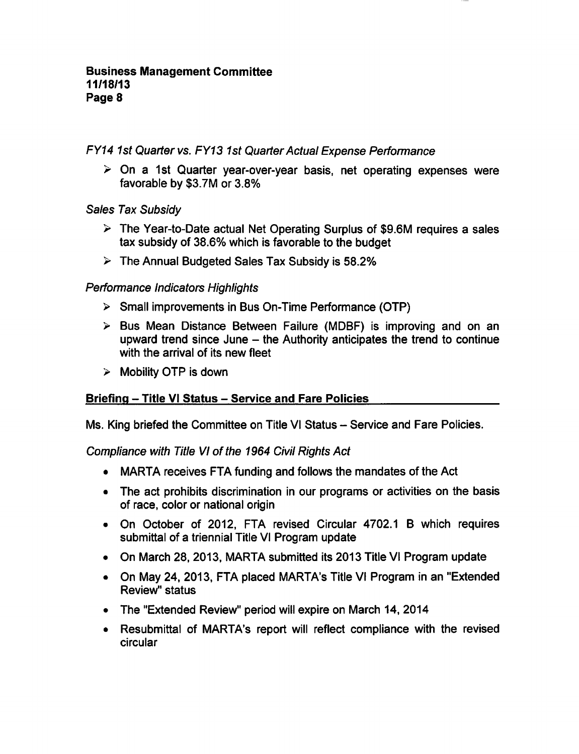FY14 1st Quarter vs. FY13 1st Quarter Actual Expense Performance

 $\ge$  On a 1st Quarter year-over-year basis, net operating expenses were favorable by \$3.7M or 3.8%

# Sales Tax Subsidy

- $\triangleright$  The Year-to-Date actual Net Operating Surplus of \$9.6M requires a sales tax subsidy of 38.6% which is favorable to the budget
- $\triangleright$  The Annual Budgeted Sales Tax Subsidy is 58.2%

# Performance Indicators Highlights

- $\triangleright$  Small improvements in Bus On-Time Performance (OTP)
- $\triangleright$  Bus Mean Distance Between Failure (MDBF) is improving and on an upward trend since June  $-$  the Authority anticipates the trend to continue with the arrival of its new fleet
- $\triangleright$  Mobility OTP is down

# Briefing - Title VI Status - Service and Fare Policies

Ms. King briefed the Committee on Title VI Status - Service and Fare Policies.

# Compliance with Title VI of the 1964 Civil Rights Act

- MARTA receives FTA funding and follows the mandates of the Act
- The act prohibits discrimination in our programs or activities on the basis of race, color or national origin
- On October of 2012, FTA revised Circular 4702.1 B which requires submittal of a triennial Title VI Program update
- On March 28, 2013, MARTA submitted its 2013 Title VI Program update
- On May 24, 2013, FTA placed MARTA's Title VI Program in an "Extended Review" status
- The "Extended Review" period will expire on March 14, 2014
- Resubmittal of MARTA's report will reflect compliance with the revised circular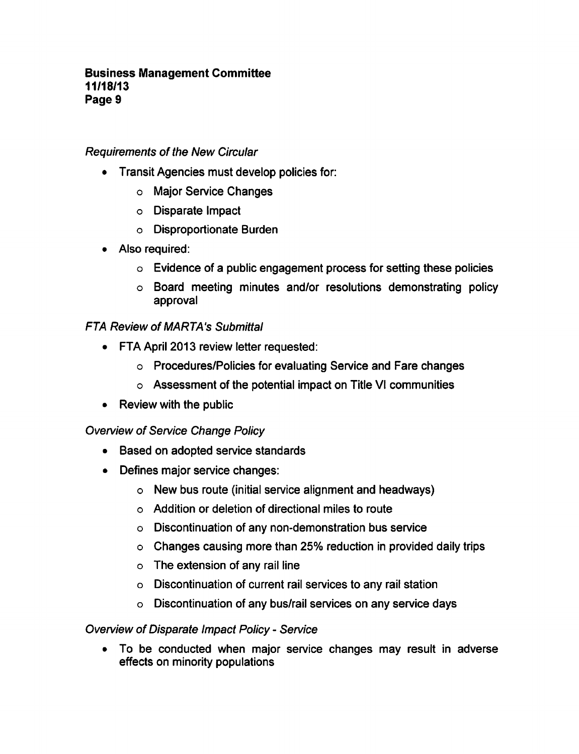## Requirements of the New Circular

- Transit Agencies must develop policies for:
	- Major Service Changes
	- Disparate Impact
	- Disproportionate Burden
- Also required:
	- $\circ$  Evidence of a public engagement process for setting these policies
	- Board meeting minutes and/or resolutions demonstrating policy approval

# **FTA Review of MARTA's Submittal**

- FTA April 2013 review letter requested:
	- Procedures/Policies for evaluating Service and Fare changes
	- Assessment of the potential impact on Title VI communities
- Review with the public

## Overview of Service Change Policy

- Based on adopted service standards
- Defines major service changes:
	- New bus route (initial service alignment and headways)
	- Addition or deletion of directional miles to route
	- Discontinuation of any non-demonstration bus service
	- Changes causing more than 25% reduction in provided daily trips
	- $\circ$  The extension of any rail line
	- Discontinuation of current rail services to any rail station
	- Discontinuation of any bus/rail services on any service days

# Overview of Disparate Impact Policy - Service

To be conducted when major service changes may result in adverse effects on minority populations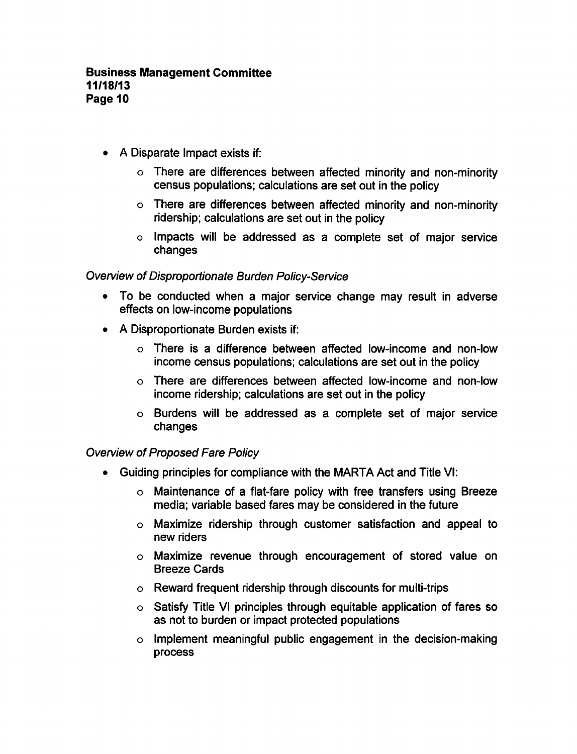- $\bullet$  A Disparate Impact exists if:
	- There are differences between affected minority and non-minority census populations; calculations are set out in the policy
	- There are differences between affected minority and non-minority ridership; calculations are set out in the policy
	- Impacts will be addressed as complete set of major service changes

# Overview of Disproportionate Burden Policy-Service

- To be conducted when a major service change may result in adverse effects on low-income populations
- $\bullet$  A Disproportionate Burden exists if:
	- o There is a difference between affected low-income and non-low income census populations; calculations are set out in the policy
	- There are differences between affected low-income and non-low income ridership; calculations are set out in the policy
	- Burdens will be addressed as complete set of major service changes

## Overview of Proposed Fare Policy

- Guiding principles for compliance with the MARTA Act and Title VI:
	- $\circ$  Maintenance of a flat-fare policy with free transfers using Breeze media; variable based fares may be considered in the future
	- Maximize ridership through customer satisfaction and appeal to new riders
	- Maximize revenue through encouragement of stored value on Breeze Cards
	- Reward frequent ridership through discounts for multi-trips
	- o Satisfy Title VI principles through equitable application of fares so as not to burden or impact protected populations
	- $\circ$  Implement meaningful public engagement in the decision-making process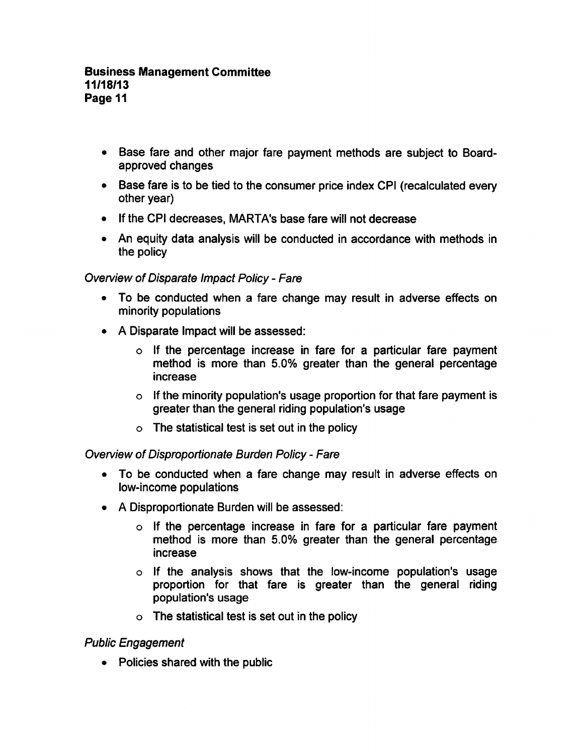- Base fare and other major fare payment methods are subject to Boardapproved changes
- Base fare is to be tied to the consumer price index CPI (recalculated every other year)
- If the CPI decreases, MARTA's base fare will not decrease
- An equity data analysis will be conducted in accordance with methods in the policy

# Overview of Disparate Impact Policy - Fare

- To be conducted when a fare change may result in adverse effects on minority populations
- $\bullet$  A Disparate Impact will be assessed:
	- $\circ$  If the percentage increase in fare for a particular fare payment method is more than 5.0% greater than the general percentage increase
	- $\circ$  If the minority population's usage proportion for that fare payment is greater than the general riding population's usage
	- $\circ$  The statistical test is set out in the policy

## Overview of Disproportionate Burden Policy - Fare

- To be conducted when a fare change may result in adverse effects on low-income populations
- A Disproportionate Burden will be assessed:
	- $\circ$  If the percentage increase in fare for a particular fare payment method is more than 5.0% greater than the general percentage increase
	- $\circ$  If the analysis shows that the low-income population's usage proportion for that fare is greater than the general riding population's usage
	- $\circ$  The statistical test is set out in the policy

# Public Engagement

• Policies shared with the public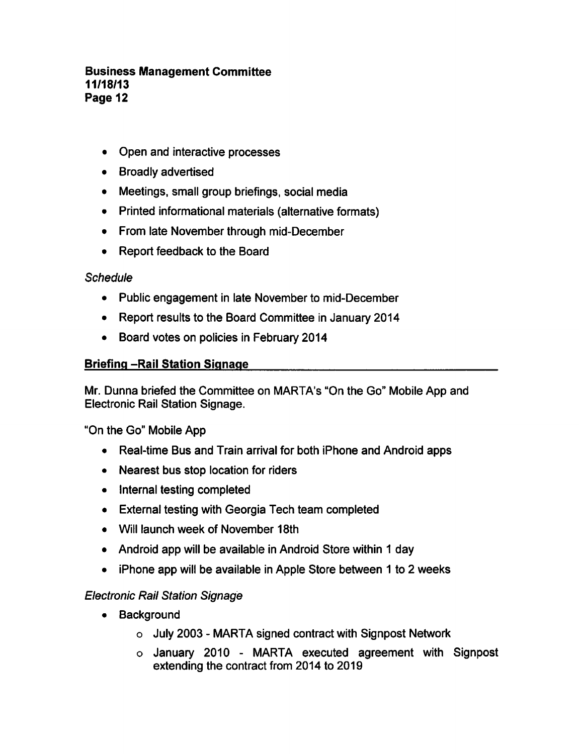- Open and interactive processes
- Broadly advertised
- Meetings, small group briefings, social media
- Printed informational materials (alternative formats)
- From late November through mid-December
- Report feedback to the Board

## **Schedule**

- Public engagement in late November to mid-December
- Report results to the Board Committee in January 2014
- Board votes on policies in February 2014

## **Briefing -Rail Station Signage**

Mr. Dunna briefed the Committee on MARTA's "On the Go" Mobile App and Electronic Rail Station Signage.

"On the Go" Mobile App

- Real-time Bus and Train arrival for both iPhone and Android apps
- Nearest bus stop location for riders
- Internal testing completed
- External testing with Georgia Tech team completed
- Will launch week of November 18th
- Android app will be available in Android Store within 1 day
- $\bullet$  iPhone app will be available in Apple Store between 1 to 2 weeks

## Electronic Rail Station Signage

- Background
	- $\circ$  July 2003 MARTA signed contract with Signpost Network
	- $\circ$  January 2010 MARTA executed agreement with Signpost extending the contract from 2014 to 2019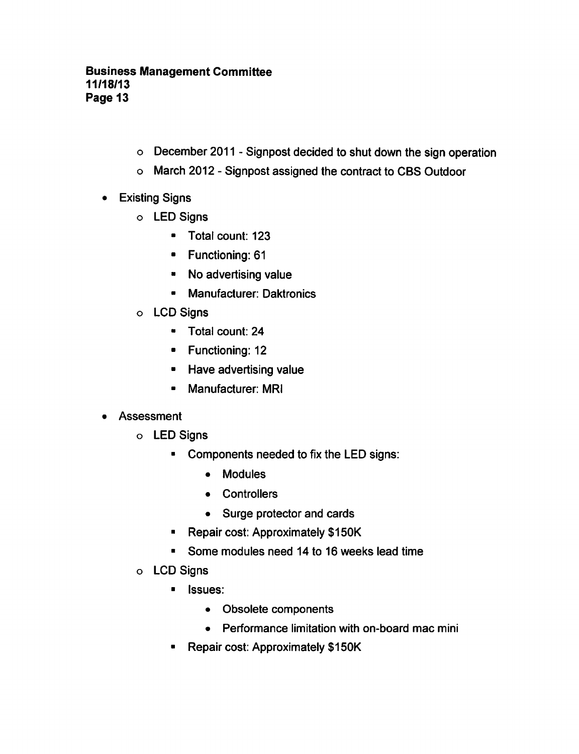- o December 2011 Signpost decided to shut down the sign operation
- o March 2012 Signpost assigned the contract to CBS Outdoor
- Existing Signs
	- LED Signs
		- Total count: 123
		- Functioning: 61
		- No advertising value
		- Manufacturer: Daktronics
	- LCD Signs
		- Total count: 24
		- Functioning: 12
		- Have advertising value
		- Manufacturer: MRI
- Assessment  $\bullet$ 
	- LED Signs
		- Components needed to fix the LED signs:
			- Modules
			- Controllers
			- Surge protector and cards
		- **Repair cost: Approximately \$150K**
		- **E** Some modules need 14 to 16 weeks lead time
	- LCD Signs
		- **I** Issues:
			- Obsolete components
			- Performance limitation with on-board mac mini
		- Repair cost: Approximately \$150K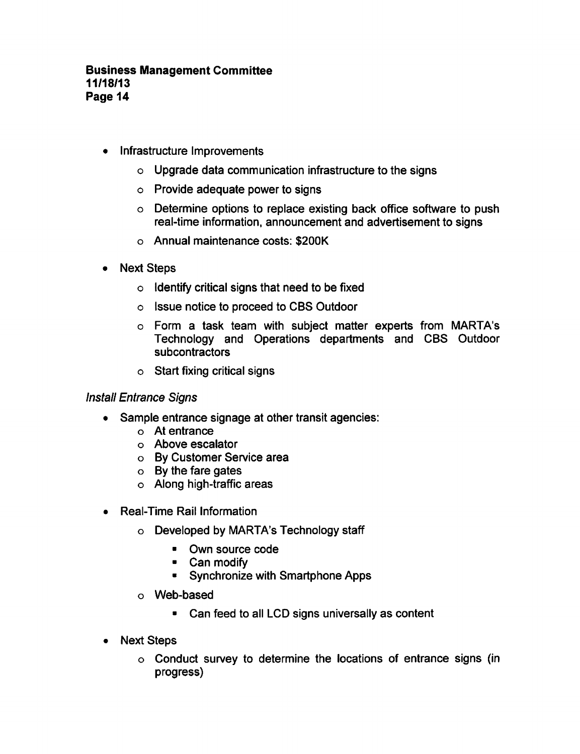- Infrastructure Improvements
	- Upgrade data communication infrastructure to the signs
	- Provide adequate power to signs
	- Determine options to replace existing back office software to push real-time information, announcement and advertisement to signs
	- Annual maintenance costs: \$200K
- Next Steps
	- $\circ$  Identify critical signs that need to be fixed
	- Issue notice to proceed to CBS Outdoor
	- o Form a task team with subject matter experts from MARTA's Technology and Operations departments and CBS Outdoor subcontractors
	- $\circ$  Start fixing critical signs

## Install Entrance Signs

- Sample entrance signage at other transit agencies:
	- At entrance
	- Above escalator
	- By Customer Service area
	- By the fare gates
	- Along high-traffic areas
- Real-Time Rail Information
	- $\circ$  Developed by MARTA's Technology staff
		- Own source code
		- Can modify
		- Synchronize with Smartphone Apps
	- Web-based
		- Can feed to all LCD signs universally as content
- Next Steps
	- Conduct survey to determine the locations of entrance signs (in progress)